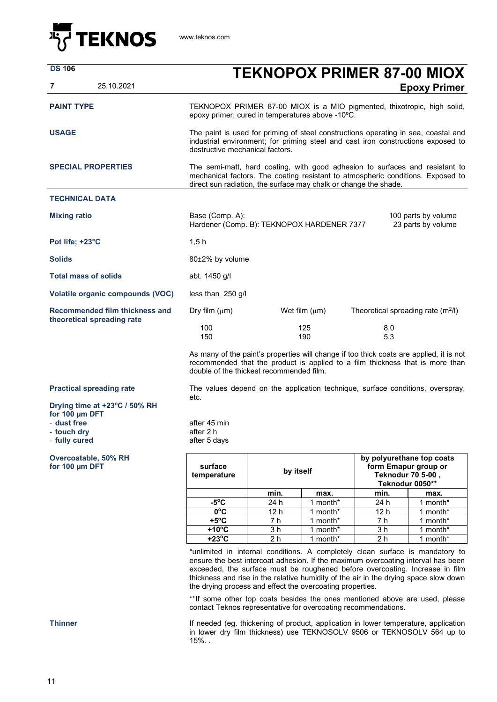

| <b>DS 106</b><br>25.10.2021<br>7                             | <b>TEKNOPOX PRIMER 87-00 MIOX</b><br><b>Epoxy Primer</b>                                                                                                                                                                                                                                                                                                                                                                                                                                                                                                |                       |                       |                                                                                           |                      |  |
|--------------------------------------------------------------|---------------------------------------------------------------------------------------------------------------------------------------------------------------------------------------------------------------------------------------------------------------------------------------------------------------------------------------------------------------------------------------------------------------------------------------------------------------------------------------------------------------------------------------------------------|-----------------------|-----------------------|-------------------------------------------------------------------------------------------|----------------------|--|
|                                                              |                                                                                                                                                                                                                                                                                                                                                                                                                                                                                                                                                         |                       |                       |                                                                                           |                      |  |
| <b>PAINT TYPE</b>                                            | TEKNOPOX PRIMER 87-00 MIOX is a MIO pigmented, thixotropic, high solid,<br>epoxy primer, cured in temperatures above -10°C.                                                                                                                                                                                                                                                                                                                                                                                                                             |                       |                       |                                                                                           |                      |  |
| <b>USAGE</b>                                                 | The paint is used for priming of steel constructions operating in sea, coastal and<br>industrial environment; for priming steel and cast iron constructions exposed to<br>destructive mechanical factors.                                                                                                                                                                                                                                                                                                                                               |                       |                       |                                                                                           |                      |  |
| <b>SPECIAL PROPERTIES</b>                                    | The semi-matt, hard coating, with good adhesion to surfaces and resistant to<br>mechanical factors. The coating resistant to atmospheric conditions. Exposed to<br>direct sun radiation, the surface may chalk or change the shade.                                                                                                                                                                                                                                                                                                                     |                       |                       |                                                                                           |                      |  |
| <b>TECHNICAL DATA</b>                                        |                                                                                                                                                                                                                                                                                                                                                                                                                                                                                                                                                         |                       |                       |                                                                                           |                      |  |
| <b>Mixing ratio</b>                                          | Base (Comp. A):<br>100 parts by volume<br>Hardener (Comp. B): TEKNOPOX HARDENER 7377<br>23 parts by volume                                                                                                                                                                                                                                                                                                                                                                                                                                              |                       |                       |                                                                                           |                      |  |
| Pot life; +23°C                                              | 1,5h                                                                                                                                                                                                                                                                                                                                                                                                                                                                                                                                                    |                       |                       |                                                                                           |                      |  |
| <b>Solids</b>                                                | 80±2% by volume                                                                                                                                                                                                                                                                                                                                                                                                                                                                                                                                         |                       |                       |                                                                                           |                      |  |
| <b>Total mass of solids</b>                                  | abt. 1450 g/l                                                                                                                                                                                                                                                                                                                                                                                                                                                                                                                                           |                       |                       |                                                                                           |                      |  |
| Volatile organic compounds (VOC)                             | less than $250$ g/l                                                                                                                                                                                                                                                                                                                                                                                                                                                                                                                                     |                       |                       |                                                                                           |                      |  |
| Recommended film thickness and<br>theoretical spreading rate | Dry film $(\mu m)$<br>Wet film $(\mu m)$<br>Theoretical spreading rate $(m^2/l)$                                                                                                                                                                                                                                                                                                                                                                                                                                                                        |                       |                       |                                                                                           |                      |  |
|                                                              | 100<br>150                                                                                                                                                                                                                                                                                                                                                                                                                                                                                                                                              |                       | 125<br>190            | 8,0<br>5,3                                                                                |                      |  |
|                                                              | As many of the paint's properties will change if too thick coats are applied, it is not<br>recommended that the product is applied to a film thickness that is more than<br>double of the thickest recommended film.                                                                                                                                                                                                                                                                                                                                    |                       |                       |                                                                                           |                      |  |
| <b>Practical spreading rate</b>                              | The values depend on the application technique, surface conditions, overspray,<br>etc.                                                                                                                                                                                                                                                                                                                                                                                                                                                                  |                       |                       |                                                                                           |                      |  |
| Drying time at +23°C / 50% RH<br>for 100 µm DFT              |                                                                                                                                                                                                                                                                                                                                                                                                                                                                                                                                                         |                       |                       |                                                                                           |                      |  |
| - dust free                                                  | after 45 min                                                                                                                                                                                                                                                                                                                                                                                                                                                                                                                                            |                       |                       |                                                                                           |                      |  |
| - touch dry<br>- fully cured                                 | after 2 h<br>after 5 days                                                                                                                                                                                                                                                                                                                                                                                                                                                                                                                               |                       |                       |                                                                                           |                      |  |
| Overcoatable, 50% RH<br>for 100 µm DFT                       | surface<br>by itself<br>temperature                                                                                                                                                                                                                                                                                                                                                                                                                                                                                                                     |                       |                       | by polyurethane top coats<br>form Emapur group or<br>Teknodur 70 5-00,<br>Teknodur 0050** |                      |  |
|                                                              |                                                                                                                                                                                                                                                                                                                                                                                                                                                                                                                                                         | min.                  | max.                  | min.                                                                                      | max.                 |  |
|                                                              | $-5^{\circ}C$                                                                                                                                                                                                                                                                                                                                                                                                                                                                                                                                           | 24 h                  | 1 month*              | 24 h                                                                                      | 1 month*             |  |
|                                                              | $0^{\circ}$ C                                                                                                                                                                                                                                                                                                                                                                                                                                                                                                                                           | 12 h                  | $\overline{1}$ month* | 12 <sub>h</sub>                                                                           | 1 month*             |  |
|                                                              | $+5^{\circ}$ C                                                                                                                                                                                                                                                                                                                                                                                                                                                                                                                                          | 7 h                   | 1 month*              | 7 h                                                                                       | 1 month*             |  |
|                                                              | $+10^{\circ}$ C<br>$+23^{\circ}$ C                                                                                                                                                                                                                                                                                                                                                                                                                                                                                                                      | 3 h<br>2 <sub>h</sub> | 1 month*<br>1 month*  | 3 <sub>h</sub><br>2 <sub>h</sub>                                                          | 1 month*<br>1 month* |  |
|                                                              | *unlimited in internal conditions. A completely clean surface is mandatory to<br>ensure the best intercoat adhesion. If the maximum overcoating interval has been<br>exceeded, the surface must be roughened before overcoating. Increase in film<br>thickness and rise in the relative humidity of the air in the drying space slow down<br>the drying process and effect the overcoating properties.<br>**If some other top coats besides the ones mentioned above are used, please<br>contact Teknos representative for overcoating recommendations. |                       |                       |                                                                                           |                      |  |

**Thinner If needed (eg. thickening of product, application in lower temperature, application Theorem in lower temperature, application** in lower dry film thickness) use TEKNOSOLV 9506 or TEKNOSOLV 564 up to 15%. .